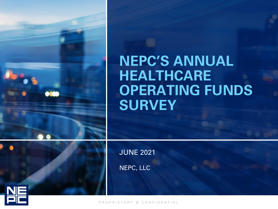### **NEPC'S ANNUAL HEALTHCARE OPERATING FUNDS SURVEY**

JUNE 2021

NEPC, LLC



P R O P R I E T A R Y & C O N F I D E N T I A L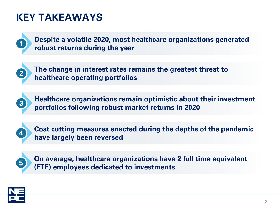### **KEY TAKEAWAYS**



**Despite a volatile 2020, most healthcare organizations generated robust returns during the year 1**



**The change in interest rates remains the greatest threat to healthcare operating portfolios** 



**Healthcare organizations remain optimistic about their investment portfolios following robust market returns in 2020 <sup>3</sup>**



**Cost cutting measures enacted during the depths of the pandemic have largely been reversed <sup>4</sup>**



**On average, healthcare organizations have 2 full time equivalent (FTE) employees dedicated to investments <sup>5</sup>**

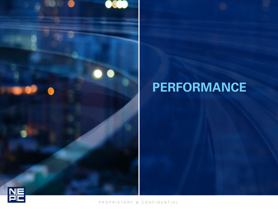# **PERFORMANCE**



 $\bullet$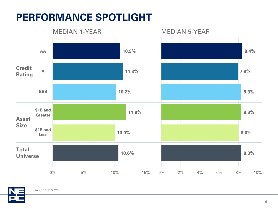### **PERFORMANCE SPOTLIGHT**



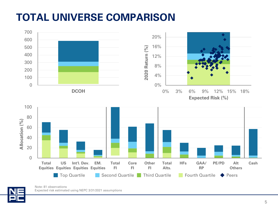### **TOTAL UNIVERSE COMPARISON**





Note: 81 observations Expected risk estimated using NEPC 3/31/2021 assumptions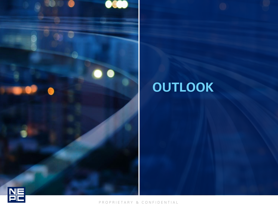

# **OUTLOOK**

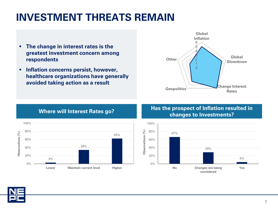### **INVESTMENT THREATS REMAIN**

- **The change in interest rates is the greatest investment concern among respondents**
- **Inflation concerns persist, however, healthcare organizations have generally avoided taking action as a result**





#### **Where will Interest Rates go? Has the prospect of Inflation resulted in Where will Interest Rates go? changes to Investments?**



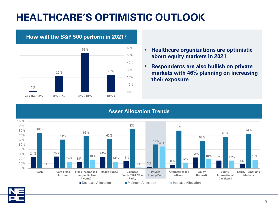### **HEALTHCARE'S OPTIMISTIC OUTLOOK**



### **How will the S&P 500 perform in 2021?**

- **Healthcare organizations are optimistic about equity markets in 2021**
- **Respondents are also bullish on private markets with 46% planning on increasing their exposure**

#### **Asset Allocation Trends**

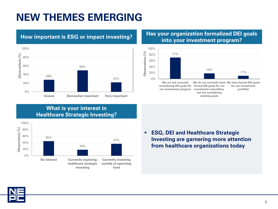### **NEW THEMES EMERGING**



#### **How important is ESG or impact investing? Has your organization formalized DEI goals into your investment program?**



#### **What is your interest in Healthcare Strategic Investing?**



▪ **ESG, DEI and Healthcare Strategic Investing are garnering more attention from healthcare organizations today**

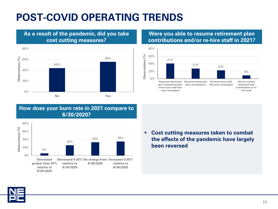### **POST-COVID OPERATING TRENDS**

#### 80% 56% Observations (%) **Observations (%)** 60% 44% 40% 20% 0% **No Yes**

**As a result of the pandemic, did you take cost cutting measures?**

#### **Were you able to resume retirement plan contributions and/or re-hire staff in 2021?**



#### **How does your burn rate in 2021 compare to 6/30/2020?**



▪ **Cost cutting measures taken to combat the effects of the pandemic have largely been reversed**

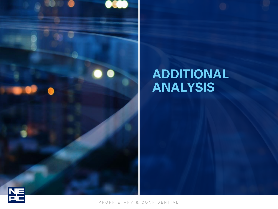

### **ADDITIONAL ANALYSIS**

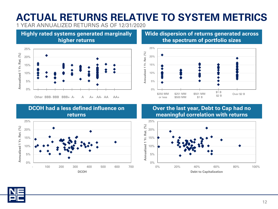### **ACTUAL RETURNS RELATIVE TO SYSTEM METRICS** 1 YEAR ANNUALIZED RETURNS AS OF 12/31/2020

**Highly rated systems generated marginally** 

**higher returns**

**Wide dispersion of returns generated across the spectrum of portfolio sizes**



#### **DCOH had a less defined influence on returns**

Other BBB- BBB BBB+ A- A A+ AA- AA AA+



#### **Over the last year, Debt to Cap had no meaningful correlation with returns**





0%

5%

10%

**Annualized 1 Yr. Ret. (%)**

Annualized 1 Yr. Ret. (%)

15%

20%

25%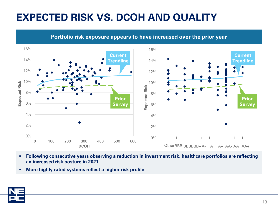### **EXPECTED RISK VS. DCOH AND QUALITY**



**Portfolio risk exposure appears to have increased over the prior year**

- **Following consecutive years observing a reduction in investment risk, healthcare portfolios are reflecting an increased risk posture in 2021**
- **More highly rated systems reflect a higher risk profile**

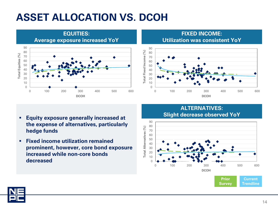### **ASSET ALLOCATION VS. DCOH**



#### **FIXED INCOME: Utilization was consistent YoY**



- **Equity exposure generally increased at the expense of alternatives, particularly hedge funds**
- **Fixed income utilization remained prominent, however, core bond exposure increased while non-core bonds decreased** <sup>0</sup>

#### **ALTERNATIVES: Slight decrease observed YoY**



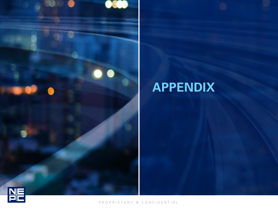

## **APPENDIX**

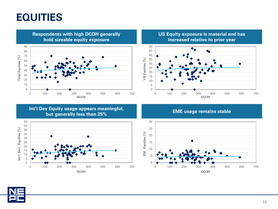### **EQUITIES**

**Respondents with high DCOH generally hold sizeable equity exposure** Total Equities (%) **Total Equities (%)** 100 200 300 400 500 600 700 **DCOH**

**US Equity exposure is material and has increased relative to prior year**



**Int'l Dev Equity usage appears meaningful, but generally less than 25% EME usage remains stable** 





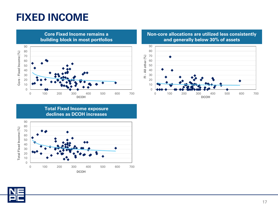### **FIXED INCOME**



**Non-core allocations are utilized less consistently and generally below 30% of assets**



**Total Fixed Income exposure declines as DCOH increases**



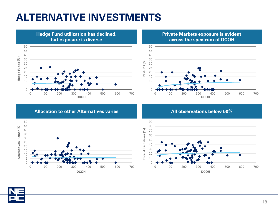### **ALTERNATIVE INVESTMENTS**



**Private Markets exposure is evident across the spectrum of DCOH**



**Allocation to other Alternatives varies All observations below 50%**





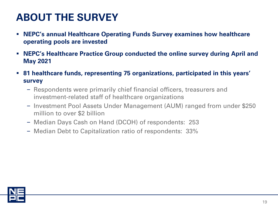### **ABOUT THE SURVEY**

- **NEPC's annual Healthcare Operating Funds Survey examines how healthcare operating pools are invested**
- **NEPC's Healthcare Practice Group conducted the online survey during April and May 2021**
- **81 healthcare funds, representing 75 organizations, participated in this years' survey**
	- ‒ Respondents were primarily chief financial officers, treasurers and investment-related staff of healthcare organizations
	- ‒ Investment Pool Assets Under Management (AUM) ranged from under \$250 million to over \$2 billion
	- ‒ Median Days Cash on Hand (DCOH) of respondents: 253
	- ‒ Median Debt to Capitalization ratio of respondents: 33%